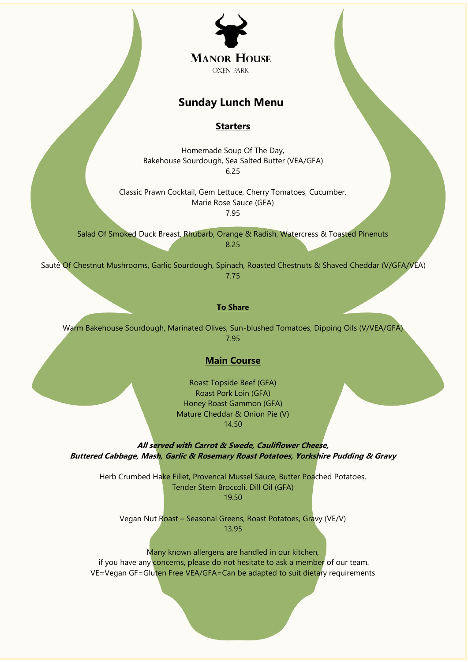

# **Sunday Lunch Menu**

## **Starters**

Homemade Soup Of The Day, Bakehouse Sourdough, Sea Salted Butter (VEA/GFA) 6.25

Classic Prawn Cocktail, Gem Lettuce, Cherry Tomatoes, Cucumber, Marie Rose Sauce (GFA) 7.95

Salad Of Smoked Duck Breast, Rhubarb, Orange & Radish, Watercress & Toasted Pinenuts 8.25

Sauté Of Chestnut Mushrooms, Garlic Sourdough, Spinach, Roasted Chestnuts & Shaved Cheddar (V/GFA/VEA) 7.75

## **To Share**

Warm Bakehouse Sourdough, Marinated Olives, Sun-blushed Tomatoes, Dipping Oils (V/VEA/GFA) 7.95

### **Main Course**

Roast Topside Beef (GFA) Roast Pork Loin (GFA) Honey Roast Gammon (GFA) Mature Cheddar & Onion Pie (V) 14.50

**All served with Carrot & Swede, Cauliflower Cheese, Buttered Cabbage, Mash, Garlic & Rosemary Roast Potatoes, Yorkshire Pudding & Gravy**

Herb Crumbed Hake Fillet, Provencal Mussel Sauce, Butter Poached Potatoes, Tender Stem Broccoli, Dill Oil (GFA) 19.50

Vegan Nut Roast – Seasonal Greens, Roast Potatoes, Gravy (VE/V) 13.95

Many known allergens are handled in our kitchen, if you have any concerns, please do not hesitate to ask a member of our team. VE=Vegan GF=Gluten Free VEA/GFA=Can be adapted to suit dietary requirements